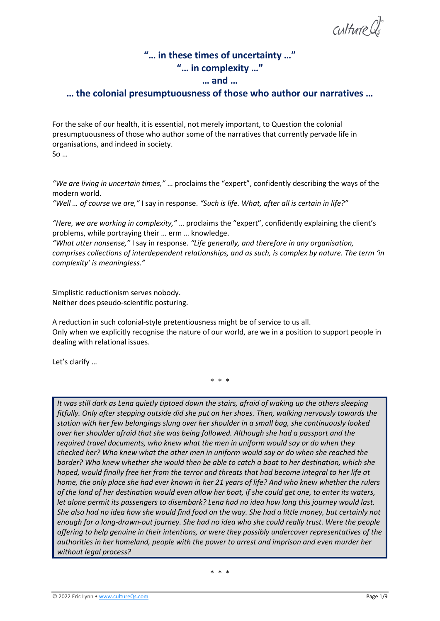culture

# **"… in these times of uncertainty …" "… in complexity …" … and …**

## **… the colonial presumptuousness of those who author our narratives …**

For the sake of our health, it is essential, not merely important, to Question the colonial presumptuousness of those who author some of the narratives that currently pervade life in organisations, and indeed in society. So …

*"We are living in uncertain times,"* … proclaims the "expert", confidently describing the ways of the modern world.

*"Well … of course we are,"* I say in response. *"Such is life. What, after all is certain in life?"*

*"Here, we are working in complexity,"* … proclaims the "expert", confidently explaining the client's problems, while portraying their … erm … knowledge.

*"What utter nonsense,"* I say in response. *"Life generally, and therefore in any organisation, comprises collections of interdependent relationships, and as such, is complex by nature. The term 'in complexity' is meaningless."*

Simplistic reductionism serves nobody. Neither does pseudo-scientific posturing.

A reduction in such colonial-style pretentiousness might be of service to us all. Only when we explicitly recognise the nature of our world, are we in a position to support people in dealing with relational issues.

Let's clarify …

\* \* \*

*It was still dark as Lena quietly tiptoed down the stairs, afraid of waking up the others sleeping fitfully. Only after stepping outside did she put on her shoes. Then, walking nervously towards the station with her few belongings slung over her shoulder in a small bag, she continuously looked over her shoulder afraid that she was being followed. Although she had a passport and the required travel documents, who knew what the men in uniform would say or do when they checked her? Who knew what the other men in uniform would say or do when she reached the border? Who knew whether she would then be able to catch a boat to her destination, which she hoped, would finally free her from the terror and threats that had become integral to her life at home, the only place she had ever known in her 21 years of life? And who knew whether the rulers of the land of her destination would even allow her boat, if she could get one, to enter its waters, let alone permit its passengers to disembark? Lena had no idea how long this journey would last. She also had no idea how she would find food on the way. She had a little money, but certainly not enough for a long-drawn-out journey. She had no idea who she could really trust. Were the people offering to help genuine in their intentions, or were they possibly undercover representatives of the authorities in her homeland, people with the power to arrest and imprison and even murder her without legal process?*

\* \* \*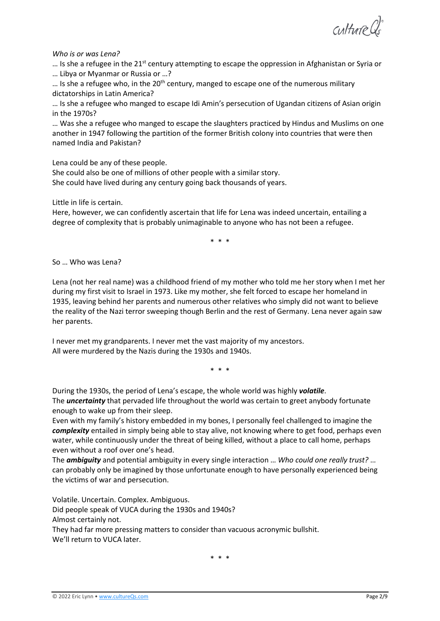Culture Cls

#### *Who is or was Lena?*

... Is she a refugee in the 21<sup>st</sup> century attempting to escape the oppression in Afghanistan or Syria or … Libya or Myanmar or Russia or …?

 $\ldots$  Is she a refugee who, in the 20<sup>th</sup> century, manged to escape one of the numerous military dictatorships in Latin America?

… Is she a refugee who manged to escape Idi Amin's persecution of Ugandan citizens of Asian origin in the 1970s?

… Was she a refugee who manged to escape the slaughters practiced by Hindus and Muslims on one another in 1947 following the partition of the former British colony into countries that were then named India and Pakistan?

Lena could be any of these people.

She could also be one of millions of other people with a similar story.

She could have lived during any century going back thousands of years.

Little in life is certain.

Here, however, we can confidently ascertain that life for Lena was indeed uncertain, entailing a degree of complexity that is probably unimaginable to anyone who has not been a refugee.

\* \* \*

So … Who was Lena?

Lena (not her real name) was a childhood friend of my mother who told me her story when I met her during my first visit to Israel in 1973. Like my mother, she felt forced to escape her homeland in 1935, leaving behind her parents and numerous other relatives who simply did not want to believe the reality of the Nazi terror sweeping though Berlin and the rest of Germany. Lena never again saw her parents.

I never met my grandparents. I never met the vast majority of my ancestors. All were murdered by the Nazis during the 1930s and 1940s.

\* \* \*

During the 1930s, the period of Lena's escape, the whole world was highly *volatile*. The *uncertainty* that pervaded life throughout the world was certain to greet anybody fortunate enough to wake up from their sleep.

Even with my family's history embedded in my bones, I personally feel challenged to imagine the *complexity* entailed in simply being able to stay alive, not knowing where to get food, perhaps even water, while continuously under the threat of being killed, without a place to call home, perhaps even without a roof over one's head.

The *ambiguity* and potential ambiguity in every single interaction … *Who could one really trust?* … can probably only be imagined by those unfortunate enough to have personally experienced being the victims of war and persecution.

Volatile. Uncertain. Complex. Ambiguous. Did people speak of VUCA during the 1930s and 1940s? Almost certainly not. They had far more pressing matters to consider than vacuous acronymic bullshit. We'll return to VUCA later.

\* \* \*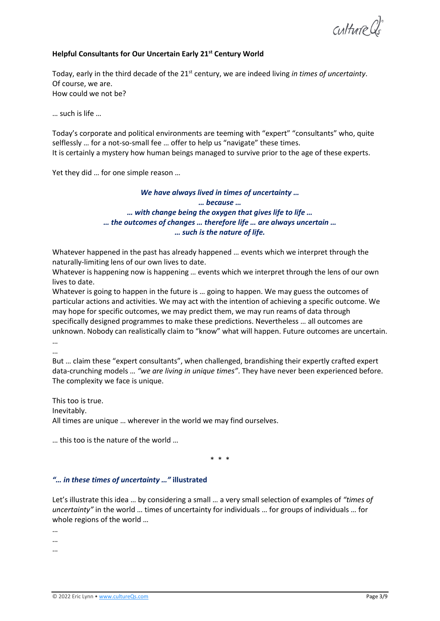Culture Cl

## **Helpful Consultants for Our Uncertain Early 21st Century World**

Today, early in the third decade of the 21st century, we are indeed living *in times of uncertainty*. Of course, we are. How could we not be?

… such is life …

Today's corporate and political environments are teeming with "expert" "consultants" who, quite selflessly … for a not-so-small fee … offer to help us "navigate" these times. It is certainly a mystery how human beings managed to survive prior to the age of these experts.

Yet they did … for one simple reason …

## *We have always lived in times of uncertainty … … because … … with change being the oxygen that gives life to life … … the outcomes of changes … therefore life … are always uncertain … … such is the nature of life.*

Whatever happened in the past has already happened … events which we interpret through the naturally-limiting lens of our own lives to date.

Whatever is happening now is happening … events which we interpret through the lens of our own lives to date.

Whatever is going to happen in the future is ... going to happen. We may guess the outcomes of particular actions and activities. We may act with the intention of achieving a specific outcome. We may hope for specific outcomes, we may predict them, we may run reams of data through specifically designed programmes to make these predictions. Nevertheless … all outcomes are unknown. Nobody can realistically claim to "know" what will happen. Future outcomes are uncertain. …

…

But … claim these "expert consultants", when challenged, brandishing their expertly crafted expert data-crunching models … *"we are living in unique times"*. They have never been experienced before. The complexity we face is unique.

This too is true. Inevitably. All times are unique … wherever in the world we may find ourselves.

… this too is the nature of the world …

\* \* \*

#### *"… in these times of uncertainty …"* **illustrated**

Let's illustrate this idea … by considering a small … a very small selection of examples of *"times of uncertainty"* in the world … times of uncertainty for individuals … for groups of individuals … for whole regions of the world …

…

…

…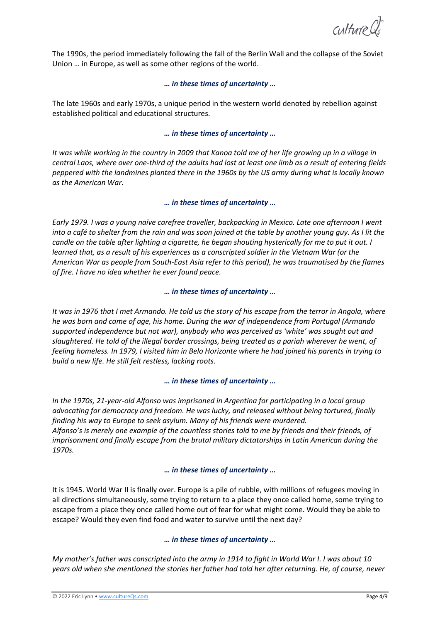culture

The 1990s, the period immediately following the fall of the Berlin Wall and the collapse of the Soviet Union … in Europe, as well as some other regions of the world.

## *… in these times of uncertainty …*

The late 1960s and early 1970s, a unique period in the western world denoted by rebellion against established political and educational structures.

## *… in these times of uncertainty …*

*It was while working in the country in 2009 that Kanoa told me of her life growing up in a village in central Laos, where over one-third of the adults had lost at least one limb as a result of entering fields peppered with the landmines planted there in the 1960s by the US army during what is locally known as the American War.* 

## *… in these times of uncertainty …*

*Early 1979. I was a young naïve carefree traveller, backpacking in Mexico. Late one afternoon I went into a café to shelter from the rain and was soon joined at the table by another young guy. As I lit the candle on the table after lighting a cigarette, he began shouting hysterically for me to put it out. I learned that, as a result of his experiences as a conscripted soldier in the Vietnam War (or the American War as people from South-East Asia refer to this period), he was traumatised by the flames of fire. I have no idea whether he ever found peace.*

## *… in these times of uncertainty …*

*It was in 1976 that I met Armando. He told us the story of his escape from the terror in Angola, where he was born and came of age, his home. During the war of independence from Portugal (Armando supported independence but not war), anybody who was perceived as 'white' was sought out and slaughtered. He told of the illegal border crossings, being treated as a pariah wherever he went, of feeling homeless. In 1979, I visited him in Belo Horizonte where he had joined his parents in trying to build a new life. He still felt restless, lacking roots.*

#### *… in these times of uncertainty …*

*In the 1970s, 21-year-old Alfonso was imprisoned in Argentina for participating in a local group advocating for democracy and freedom. He was lucky, and released without being tortured, finally finding his way to Europe to seek asylum. Many of his friends were murdered. Alfonso's is merely one example of the countless stories told to me by friends and their friends, of imprisonment and finally escape from the brutal military dictatorships in Latin American during the 1970s.*

#### *… in these times of uncertainty …*

It is 1945. World War II is finally over. Europe is a pile of rubble, with millions of refugees moving in all directions simultaneously, some trying to return to a place they once called home, some trying to escape from a place they once called home out of fear for what might come. Would they be able to escape? Would they even find food and water to survive until the next day?

## *… in these times of uncertainty …*

*My mother's father was conscripted into the army in 1914 to fight in World War I. I was about 10 years old when she mentioned the stories her father had told her after returning. He, of course, never*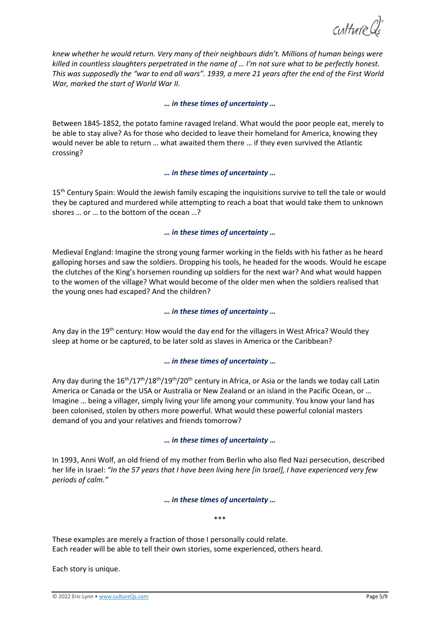culture

*knew whether he would return. Very many of their neighbours didn't. Millions of human beings were killed in countless slaughters perpetrated in the name of … I'm not sure what to be perfectly honest. This was supposedly the "war to end all wars". 1939, a mere 21 years after the end of the First World War, marked the start of World War II.* 

#### *… in these times of uncertainty …*

Between 1845-1852, the potato famine ravaged Ireland. What would the poor people eat, merely to be able to stay alive? As for those who decided to leave their homeland for America, knowing they would never be able to return … what awaited them there … if they even survived the Atlantic crossing?

#### *… in these times of uncertainty …*

15<sup>th</sup> Century Spain: Would the Jewish family escaping the inquisitions survive to tell the tale or would they be captured and murdered while attempting to reach a boat that would take them to unknown shores … or … to the bottom of the ocean …?

#### *… in these times of uncertainty …*

Medieval England: Imagine the strong young farmer working in the fields with his father as he heard galloping horses and saw the soldiers. Dropping his tools, he headed for the woods. Would he escape the clutches of the King's horsemen rounding up soldiers for the next war? And what would happen to the women of the village? What would become of the older men when the soldiers realised that the young ones had escaped? And the children?

#### *… in these times of uncertainty …*

Any day in the 19<sup>th</sup> century: How would the day end for the villagers in West Africa? Would they sleep at home or be captured, to be later sold as slaves in America or the Caribbean?

#### *… in these times of uncertainty …*

Any day during the  $16^{th}/17^{th}/18^{th}/19^{th}/20^{th}$  century in Africa, or Asia or the lands we today call Latin America or Canada or the USA or Australia or New Zealand or an island in the Pacific Ocean, or … Imagine … being a villager, simply living your life among your community. You know your land has been colonised, stolen by others more powerful. What would these powerful colonial masters demand of you and your relatives and friends tomorrow?

#### *… in these times of uncertainty …*

In 1993, Anni Wolf, an old friend of my mother from Berlin who also fled Nazi persecution, described her life in Israel: *"In the 57 years that I have been living here [in Israel], I have experienced very few periods of calm."* 

#### *… in these times of uncertainty …*

\*\*\*

These examples are merely a fraction of those I personally could relate. Each reader will be able to tell their own stories, some experienced, others heard.

Each story is unique.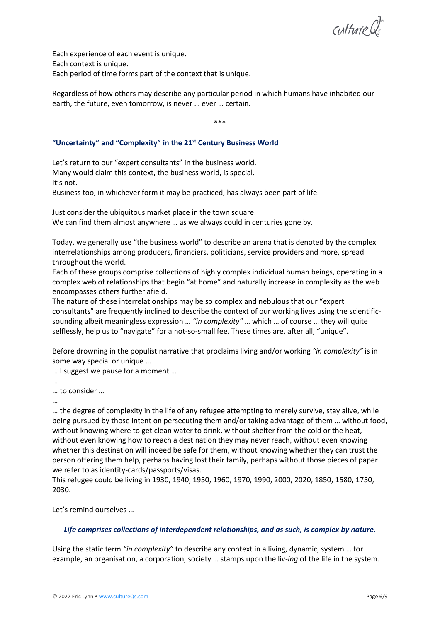Culture Cls

Each experience of each event is unique. Each context is unique. Each period of time forms part of the context that is unique.

Regardless of how others may describe any particular period in which humans have inhabited our earth, the future, even tomorrow, is never … ever … certain.

\*\*\*

## **"Uncertainty" and "Complexity" in the 21st Century Business World**

Let's return to our "expert consultants" in the business world. Many would claim this context, the business world, is special. It's not.

Business too, in whichever form it may be practiced, has always been part of life.

Just consider the ubiquitous market place in the town square. We can find them almost anywhere … as we always could in centuries gone by.

Today, we generally use "the business world" to describe an arena that is denoted by the complex interrelationships among producers, financiers, politicians, service providers and more, spread throughout the world.

Each of these groups comprise collections of highly complex individual human beings, operating in a complex web of relationships that begin "at home" and naturally increase in complexity as the web encompasses others further afield.

The nature of these interrelationships may be so complex and nebulous that our "expert consultants" are frequently inclined to describe the context of our working lives using the scientificsounding albeit meaningless expression … *"in complexity"* … which … of course … they will quite selflessly, help us to "navigate" for a not-so-small fee. These times are, after all, "unique".

Before drowning in the populist narrative that proclaims living and/or working *"in complexity"* is in some way special or unique …

… I suggest we pause for a moment …

…

… to consider …

…

… the degree of complexity in the life of any refugee attempting to merely survive, stay alive, while being pursued by those intent on persecuting them and/or taking advantage of them … without food, without knowing where to get clean water to drink, without shelter from the cold or the heat, without even knowing how to reach a destination they may never reach, without even knowing whether this destination will indeed be safe for them, without knowing whether they can trust the person offering them help, perhaps having lost their family, perhaps without those pieces of paper we refer to as identity-cards/passports/visas.

This refugee could be living in 1930, 1940, 1950, 1960, 1970, 1990, 2000, 2020, 1850, 1580, 1750, 2030.

Let's remind ourselves …

## *Life comprises collections of interdependent relationships, and as such, is complex by nature.*

Using the static term *"in complexity"* to describe any context in a living, dynamic, system … for example, an organisation, a corporation, society … stamps upon the liv-*ing* of the life in the system.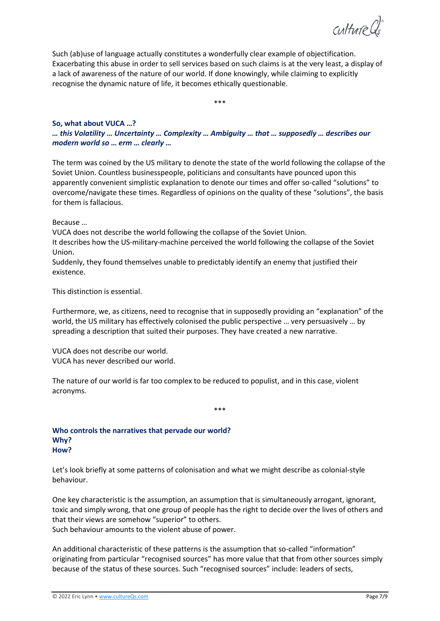culture Qs

Such (ab)use of language actually constitutes a wonderfully clear example of objectification. Exacerbating this abuse in order to sell services based on such claims is at the very least, a display of a lack of awareness of the nature of our world. If done knowingly, while claiming to explicitly recognise the dynamic nature of life, it becomes ethically questionable.

\*\*\*

#### **So, what about VUCA …?**

*… this Volatility … Uncertainty … Complexity … Ambiguity … that … supposedly … describes our modern world so … erm … clearly …*

The term was coined by the US military to denote the state of the world following the collapse of the Soviet Union. Countless businesspeople, politicians and consultants have pounced upon this apparently convenient simplistic explanation to denote our times and offer so-called "solutions" to overcome/navigate these times. Regardless of opinions on the quality of these "solutions", the basis for them is fallacious.

Because …

VUCA does not describe the world following the collapse of the Soviet Union.

It describes how the US-military-machine perceived the world following the collapse of the Soviet Union.

Suddenly, they found themselves unable to predictably identify an enemy that justified their existence.

This distinction is essential.

Furthermore, we, as citizens, need to recognise that in supposedly providing an "explanation" of the world, the US military has effectively colonised the public perspective … very persuasively … by spreading a description that suited their purposes. They have created a new narrative.

VUCA does not describe our world. VUCA has never described our world.

The nature of our world is far too complex to be reduced to populist, and in this case, violent acronyms.

\*\*\*

## **Who controls the narratives that pervade our world? Why? How?**

Let's look briefly at some patterns of colonisation and what we might describe as colonial-style behaviour.

One key characteristic is the assumption, an assumption that is simultaneously arrogant, ignorant, toxic and simply wrong, that one group of people has the right to decide over the lives of others and that their views are somehow "superior" to others. Such behaviour amounts to the violent abuse of power.

An additional characteristic of these patterns is the assumption that so-called "information" originating from particular "recognised sources" has more value that that from other sources simply because of the status of these sources. Such "recognised sources" include: leaders of sects,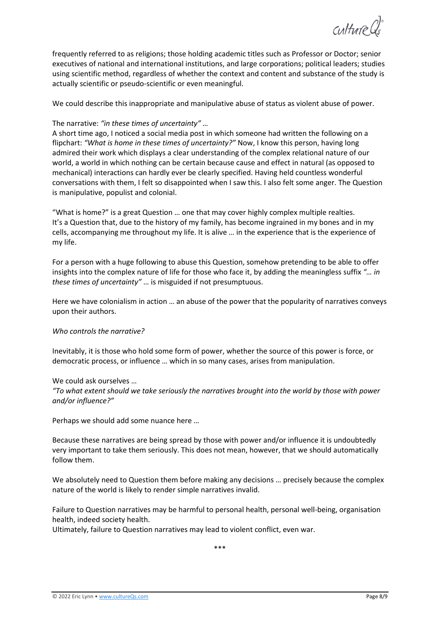culture Q

frequently referred to as religions; those holding academic titles such as Professor or Doctor; senior executives of national and international institutions, and large corporations; political leaders; studies using scientific method, regardless of whether the context and content and substance of the study is actually scientific or pseudo-scientific or even meaningful.

We could describe this inappropriate and manipulative abuse of status as violent abuse of power.

## The narrative: *"in these times of uncertainty" …*

A short time ago, I noticed a social media post in which someone had written the following on a flipchart: *"What is home in these times of uncertainty?"* Now, I know this person, having long admired their work which displays a clear understanding of the complex relational nature of our world, a world in which nothing can be certain because cause and effect in natural (as opposed to mechanical) interactions can hardly ever be clearly specified. Having held countless wonderful conversations with them, I felt so disappointed when I saw this. I also felt some anger. The Question is manipulative, populist and colonial.

"What is home?" is a great Question … one that may cover highly complex multiple realties. It's a Question that, due to the history of my family, has become ingrained in my bones and in my cells, accompanying me throughout my life. It is alive … in the experience that is the experience of my life.

For a person with a huge following to abuse this Question, somehow pretending to be able to offer insights into the complex nature of life for those who face it, by adding the meaningless suffix *"… in these times of uncertainty"* … is misguided if not presumptuous.

Here we have colonialism in action … an abuse of the power that the popularity of narratives conveys upon their authors.

#### *Who controls the narrative?*

Inevitably, it is those who hold some form of power, whether the source of this power is force, or democratic process, or influence … which in so many cases, arises from manipulation.

#### We could ask ourselves …

*"To what extent should we take seriously the narratives brought into the world by those with power and/or influence?"*

Perhaps we should add some nuance here …

Because these narratives are being spread by those with power and/or influence it is undoubtedly very important to take them seriously. This does not mean, however, that we should automatically follow them.

We absolutely need to Question them before making any decisions … precisely because the complex nature of the world is likely to render simple narratives invalid.

Failure to Question narratives may be harmful to personal health, personal well-being, organisation health, indeed society health.

Ultimately, failure to Question narratives may lead to violent conflict, even war.

\*\*\*